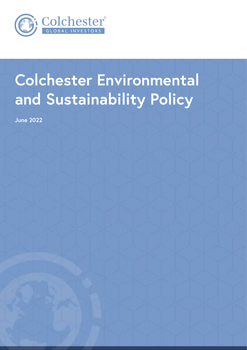

# **Colchester Environmental and Sustainability Policy**

**June 2022**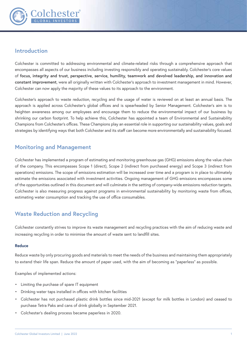

## **Introduction**

Colchester is committed to addressing environmental and climate-related risks through a comprehensive approach that encompasses all aspects of our business including investing responsibly and operating sustainably. Colchester's core values of **focus, integrity and trust, perspective, service, humility, teamwork and devolved leadership, and innovation and constant improvement**, were all originally written with Colchester's approach to investment management in mind. However, Colchester can now apply the majority of these values to its approach to the environment.

Colchester's approach to waste reduction, recycling and the usage of water is reviewed on at least an annual basis. The approach is applied across Colchester's global offices and is spearheaded by Senior Management. Colchester's aim is to heighten awareness among our employees and encourage them to reduce the environmental impact of our business by shrinking our carbon footprint. To help achieve this, Colchester has appointed a team of Environmental and Sustainability Champions from Colchester's offices. These Champions play an essential role in supporting our sustainability values, goals and strategies by identifying ways that both Colchester and its staff can become more environmentally and sustainability focused.

# **Monitoring and Management**

Colchester has implemented a program of estimating and monitoring greenhouse gas (GHG) emissions along the value chain of the company. This encompasses Scope 1 (direct), Scope 2 (indirect from purchased energy) and Scope 3 (indirect from operations) emissions. The scope of emissions estimation will be increased over time and a program is in place to ultimately estimate the emissions associated with investment activities. Ongoing management of GHG emissions encompasses some of the opportunities outlined in this document and will culminate in the setting of company-wide emissions reduction targets. Colchester is also measuring progress against programs in environmental sustainability by monitoring waste from offices, estimating water consumption and tracking the use of office consumables.

# **Waste Reduction and Recycling**

Colchester constantly strives to improve its waste management and recycling practices with the aim of reducing waste and increasing recycling in order to minimise the amount of waste sent to landfill sites.

#### **Reduce**

Reduce waste by only procuring goods and materials to meet the needs of the business and maintaining them appropriately to extend their life span. Reduce the amount of paper used, with the aim of becoming as "paperless" as possible.

Examples of implemented actions:

- Limiting the purchase of spare IT equipment
- Drinking water taps installed in offices with kitchen facilities
- Colchester has not purchased plastic drink bottles since mid-2021 (except for milk bottles in London) and ceased to purchase Tetra Paks and cans of drink globally in September 2021.
- Colchester's dealing process became paperless in 2020.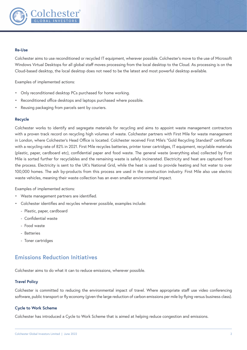

#### **Re-Use**

Colchester aims to use reconditioned or recycled IT equipment, wherever possible. Colchester's move to the use of Microsoft Windows Virtual Desktops for all global staff moves processing from the local desktop to the Cloud. As processing is on the Cloud-based desktop, the local desktop does not need to be the latest and most powerful desktop available.

Examples of implemented actions:

- Only reconditioned desktop PCs purchased for home working.
- Reconditioned office desktops and laptops purchased where possible.
- Reusing packaging from parcels sent by couriers.

#### **Recycle**

Colchester works to identify and segregate materials for recycling and aims to appoint waste management contractors with a proven track record on recycling high volumes of waste. Colchester partners with First Mile for waste management in London, where Colchester's Head Office is located. Colchester received First Mile's "Gold Recycling Standard" certificate with a recycling rate of 82% in 2021. First Mile recycles batteries, printer toner cartridges, IT equipment, recyclable materials (plastic, paper, cardboard etc), confidential paper and food waste. The general waste (everything else) collected by First Mile is sorted further for recyclables and the remaining waste is safely incinerated. Electricity and heat are captured from the process. Electricity is sent to the UK's National Grid, while the heat is used to provide heating and hot water to over 100,000 homes. The ash by-products from this process are used in the construction industry. First Mile also use electric waste vehicles, meaning their waste collection has an even smaller environmental impact.

Examples of implemented actions:

- Waste management partners are identified.
- Colchester identifies and recycles wherever possible, examples include:
	- Plastic, paper, cardboard
	- Confidential waste
	- Food waste
	- Batteries
	- Toner cartridges

## **Emissions Reduction Initiatives**

Colchester aims to do what it can to reduce emissions, wherever possible.

#### **Travel Policy**

Colchester is committed to reducing the environmental impact of travel. Where appropriate staff use video conferencing software, public transport or fly economy (given the large reduction of carbon emissions per mile by flying versus business class).

#### **Cycle to Work Scheme**

Colchester has introduced a Cycle to Work Scheme that is aimed at helping reduce congestion and emissions.